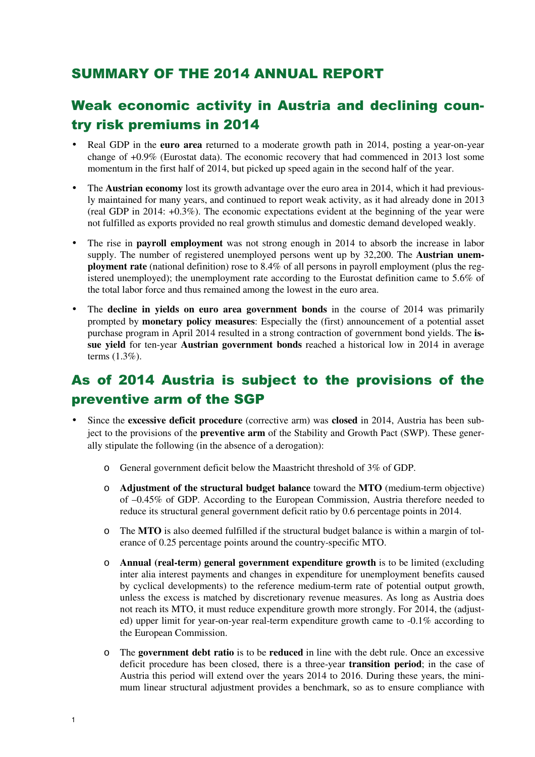#### SUMMARY OF THE 2014 ANNUAL REPORT

## Weak economic activity in Austria and declining country risk premiums in 2014

- Real GDP in the **euro area** returned to a moderate growth path in 2014, posting a year-on-year change of +0.9% (Eurostat data). The economic recovery that had commenced in 2013 lost some momentum in the first half of 2014, but picked up speed again in the second half of the year.
- The **Austrian economy** lost its growth advantage over the euro area in 2014, which it had previously maintained for many years, and continued to report weak activity, as it had already done in 2013 (real GDP in 2014: +0.3%). The economic expectations evident at the beginning of the year were not fulfilled as exports provided no real growth stimulus and domestic demand developed weakly.
- The rise in **payroll employment** was not strong enough in 2014 to absorb the increase in labor supply. The number of registered unemployed persons went up by 32,200. The **Austrian unemployment rate** (national definition) rose to 8.4% of all persons in payroll employment (plus the registered unemployed); the unemployment rate according to the Eurostat definition came to 5.6% of the total labor force and thus remained among the lowest in the euro area.
- The **decline in yields on euro area government bonds** in the course of 2014 was primarily prompted by **monetary policy measures**: Especially the (first) announcement of a potential asset purchase program in April 2014 resulted in a strong contraction of government bond yields. The **issue yield** for ten-year **Austrian government bonds** reached a historical low in 2014 in average terms (1.3%).

## As of 2014 Austria is subject to the provisions of the preventive arm of the SGP

- Since the **excessive deficit procedure** (corrective arm) was **closed** in 2014, Austria has been subject to the provisions of the **preventive arm** of the Stability and Growth Pact (SWP). These generally stipulate the following (in the absence of a derogation):
	- o General government deficit below the Maastricht threshold of 3% of GDP.
	- o **Adjustment of the structural budget balance** toward the **MTO** (medium-term objective) of –0.45% of GDP. According to the European Commission, Austria therefore needed to reduce its structural general government deficit ratio by 0.6 percentage points in 2014.
	- o The **MTO** is also deemed fulfilled if the structural budget balance is within a margin of tolerance of 0.25 percentage points around the country-specific MTO.
	- o **Annual (real-term) general government expenditure growth** is to be limited (excluding inter alia interest payments and changes in expenditure for unemployment benefits caused by cyclical developments) to the reference medium-term rate of potential output growth, unless the excess is matched by discretionary revenue measures. As long as Austria does not reach its MTO, it must reduce expenditure growth more strongly. For 2014, the (adjusted) upper limit for year-on-year real-term expenditure growth came to -0.1% according to the European Commission.
	- o The **government debt ratio** is to be **reduced** in line with the debt rule. Once an excessive deficit procedure has been closed, there is a three-year **transition period**; in the case of Austria this period will extend over the years 2014 to 2016. During these years, the minimum linear structural adjustment provides a benchmark, so as to ensure compliance with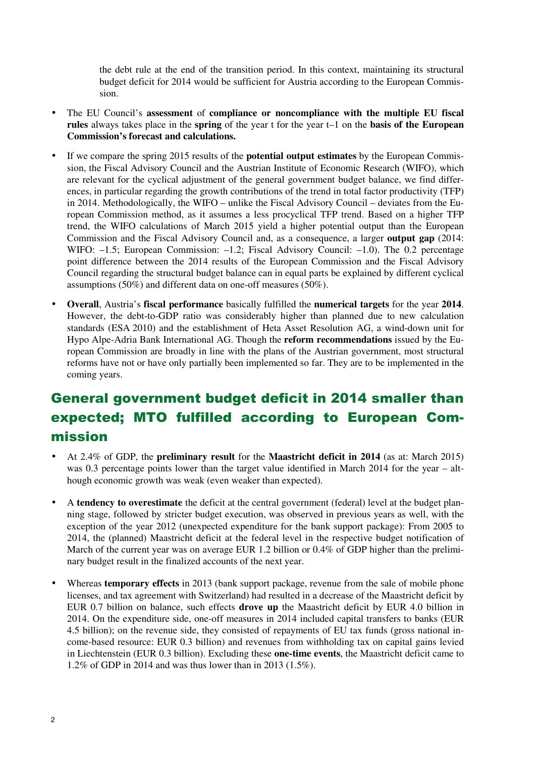the debt rule at the end of the transition period. In this context, maintaining its structural budget deficit for 2014 would be sufficient for Austria according to the European Commission.

- The EU Council's **assessment** of **compliance or noncompliance with the multiple EU fiscal rules** always takes place in the **spring** of the year t for the year t–1 on the **basis of the European Commission's forecast and calculations.**
- If we compare the spring 2015 results of the **potential output estimates** by the European Commission, the Fiscal Advisory Council and the Austrian Institute of Economic Research (WIFO), which are relevant for the cyclical adjustment of the general government budget balance, we find differences, in particular regarding the growth contributions of the trend in total factor productivity (TFP) in 2014. Methodologically, the WIFO – unlike the Fiscal Advisory Council – deviates from the European Commission method, as it assumes a less procyclical TFP trend. Based on a higher TFP trend, the WIFO calculations of March 2015 yield a higher potential output than the European Commission and the Fiscal Advisory Council and, as a consequence, a larger **output gap** (2014: WIFO:  $-1.5$ ; European Commission:  $-1.2$ ; Fiscal Advisory Council:  $-1.0$ ). The 0.2 percentage point difference between the 2014 results of the European Commission and the Fiscal Advisory Council regarding the structural budget balance can in equal parts be explained by different cyclical assumptions (50%) and different data on one-off measures (50%).
- **Overall**, Austria's **fiscal performance** basically fulfilled the **numerical targets** for the year **2014**. However, the debt-to-GDP ratio was considerably higher than planned due to new calculation standards (ESA 2010) and the establishment of Heta Asset Resolution AG, a wind-down unit for Hypo Alpe-Adria Bank International AG. Though the **reform recommendations** issued by the European Commission are broadly in line with the plans of the Austrian government, most structural reforms have not or have only partially been implemented so far. They are to be implemented in the coming years.

## General government budget deficit in 2014 smaller than expected; MTO fulfilled according to European Commission

- At 2.4% of GDP, the **preliminary result** for the **Maastricht deficit in 2014** (as at: March 2015) was 0.3 percentage points lower than the target value identified in March 2014 for the year – although economic growth was weak (even weaker than expected).
- A **tendency to overestimate** the deficit at the central government (federal) level at the budget planning stage, followed by stricter budget execution, was observed in previous years as well, with the exception of the year 2012 (unexpected expenditure for the bank support package): From 2005 to 2014, the (planned) Maastricht deficit at the federal level in the respective budget notification of March of the current year was on average EUR 1.2 billion or 0.4% of GDP higher than the preliminary budget result in the finalized accounts of the next year.
- Whereas **temporary effects** in 2013 (bank support package, revenue from the sale of mobile phone licenses, and tax agreement with Switzerland) had resulted in a decrease of the Maastricht deficit by EUR 0.7 billion on balance, such effects **drove up** the Maastricht deficit by EUR 4.0 billion in 2014. On the expenditure side, one-off measures in 2014 included capital transfers to banks (EUR 4.5 billion); on the revenue side, they consisted of repayments of EU tax funds (gross national income-based resource: EUR 0.3 billion) and revenues from withholding tax on capital gains levied in Liechtenstein (EUR 0.3 billion). Excluding these **one-time events**, the Maastricht deficit came to 1.2% of GDP in 2014 and was thus lower than in 2013 (1.5%).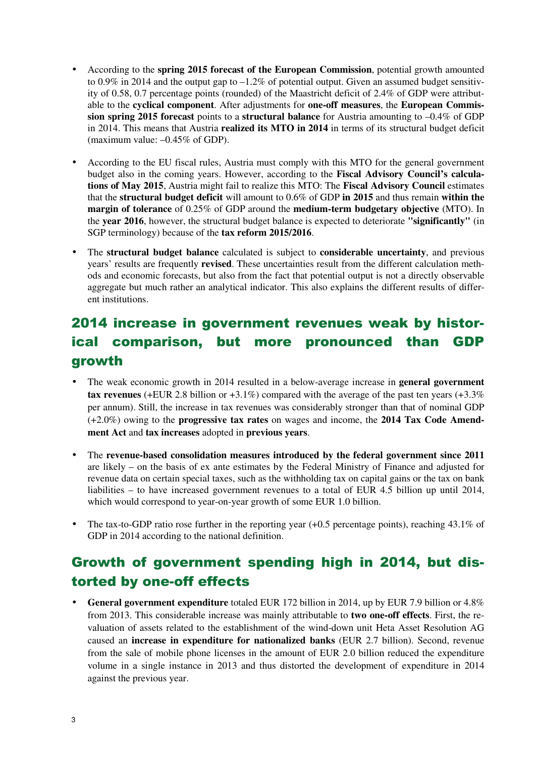- According to the **spring 2015 forecast of the European Commission**, potential growth amounted to 0.9% in 2014 and the output gap to  $-1.2\%$  of potential output. Given an assumed budget sensitivity of 0.58, 0.7 percentage points (rounded) of the Maastricht deficit of 2.4% of GDP were attributable to the **cyclical component**. After adjustments for **one-off measures**, the **European Commission spring 2015 forecast** points to a **structural balance** for Austria amounting to –0.4% of GDP in 2014. This means that Austria **realized its MTO in 2014** in terms of its structural budget deficit (maximum value: –0.45% of GDP).
- According to the EU fiscal rules, Austria must comply with this MTO for the general government budget also in the coming years. However, according to the **Fiscal Advisory Council's calculations of May 2015**, Austria might fail to realize this MTO: The **Fiscal Advisory Council** estimates that the **structural budget deficit** will amount to 0.6% of GDP **in 2015** and thus remain **within the margin of tolerance** of 0.25% of GDP around the **medium-term budgetary objective** (MTO). In the **year 2016**, however, the structural budget balance is expected to deteriorate **"significantly"** (in SGP terminology) because of the **tax reform 2015/2016**.
- The **structural budget balance** calculated is subject to **considerable uncertainty**, and previous years' results are frequently **revised**. These uncertainties result from the different calculation methods and economic forecasts, but also from the fact that potential output is not a directly observable aggregate but much rather an analytical indicator. This also explains the different results of different institutions.

# 2014 increase in government revenues weak by historical comparison, but more pronounced than GDP growth

- The weak economic growth in 2014 resulted in a below-average increase in **general government tax revenues** (+EUR 2.8 billion or  $+3.1\%$ ) compared with the average of the past ten years ( $+3.3\%$ ) per annum). Still, the increase in tax revenues was considerably stronger than that of nominal GDP (+2.0%) owing to the **progressive tax rates** on wages and income, the **2014 Tax Code Amendment Act** and **tax increases** adopted in **previous years**.
- The **revenue-based consolidation measures introduced by the federal government since 2011** are likely – on the basis of ex ante estimates by the Federal Ministry of Finance and adjusted for revenue data on certain special taxes, such as the withholding tax on capital gains or the tax on bank liabilities – to have increased government revenues to a total of EUR 4.5 billion up until 2014, which would correspond to year-on-year growth of some EUR 1.0 billion.
- The tax-to-GDP ratio rose further in the reporting year (+0.5 percentage points), reaching 43.1% of GDP in 2014 according to the national definition.

## Growth of government spending high in 2014, but distorted by one-off effects

• **General government expenditure** totaled EUR 172 billion in 2014, up by EUR 7.9 billion or 4.8% from 2013. This considerable increase was mainly attributable to **two one-off effects**. First, the revaluation of assets related to the establishment of the wind-down unit Heta Asset Resolution AG caused an **increase in expenditure for nationalized banks** (EUR 2.7 billion). Second, revenue from the sale of mobile phone licenses in the amount of EUR 2.0 billion reduced the expenditure volume in a single instance in 2013 and thus distorted the development of expenditure in 2014 against the previous year.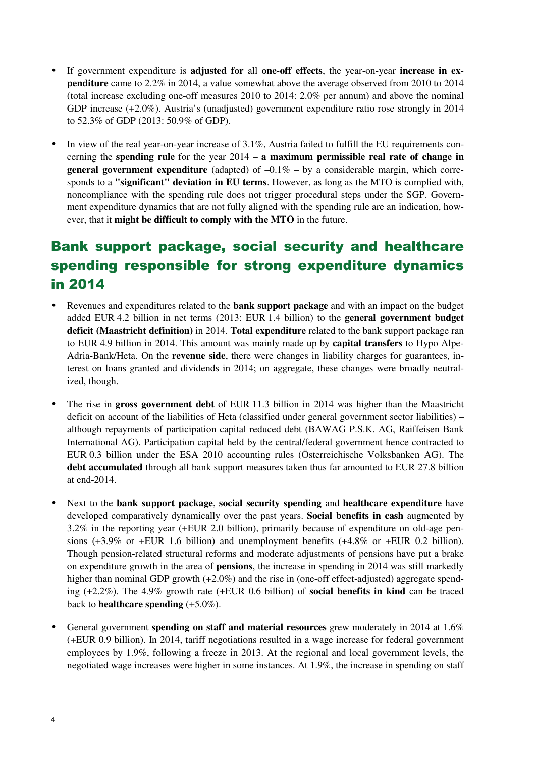- If government expenditure is **adjusted for** all **one-off effects**, the year-on-year **increase in expenditure** came to 2.2% in 2014, a value somewhat above the average observed from 2010 to 2014 (total increase excluding one-off measures 2010 to 2014: 2.0% per annum) and above the nominal GDP increase (+2.0%). Austria's (unadjusted) government expenditure ratio rose strongly in 2014 to 52.3% of GDP (2013: 50.9% of GDP).
- In view of the real year-on-year increase of 3.1%, Austria failed to fulfill the EU requirements concerning the **spending rule** for the year 2014 – **a maximum permissible real rate of change in general government expenditure** (adapted) of  $-0.1\%$  – by a considerable margin, which corresponds to a **"significant" deviation in EU terms**. However, as long as the MTO is complied with, noncompliance with the spending rule does not trigger procedural steps under the SGP. Government expenditure dynamics that are not fully aligned with the spending rule are an indication, however, that it **might be difficult to comply with the MTO** in the future.

# Bank support package, social security and healthcare spending responsible for strong expenditure dynamics in 2014

- Revenues and expenditures related to the **bank support package** and with an impact on the budget added EUR 4.2 billion in net terms (2013: EUR 1.4 billion) to the **general government budget deficit (Maastricht definition)** in 2014. **Total expenditure** related to the bank support package ran to EUR 4.9 billion in 2014. This amount was mainly made up by **capital transfers** to Hypo Alpe-Adria-Bank/Heta. On the **revenue side**, there were changes in liability charges for guarantees, interest on loans granted and dividends in 2014; on aggregate, these changes were broadly neutralized, though.
- The rise in **gross government debt** of EUR 11.3 billion in 2014 was higher than the Maastricht deficit on account of the liabilities of Heta (classified under general government sector liabilities) – although repayments of participation capital reduced debt (BAWAG P.S.K. AG, Raiffeisen Bank International AG). Participation capital held by the central/federal government hence contracted to EUR 0.3 billion under the ESA 2010 accounting rules (Österreichische Volksbanken AG). The **debt accumulated** through all bank support measures taken thus far amounted to EUR 27.8 billion at end-2014.
- Next to the **bank support package**, **social security spending** and **healthcare expenditure** have developed comparatively dynamically over the past years. **Social benefits in cash** augmented by 3.2% in the reporting year (+EUR 2.0 billion), primarily because of expenditure on old-age pensions (+3.9% or +EUR 1.6 billion) and unemployment benefits (+4.8% or +EUR 0.2 billion). Though pension-related structural reforms and moderate adjustments of pensions have put a brake on expenditure growth in the area of **pensions**, the increase in spending in 2014 was still markedly higher than nominal GDP growth  $(+2.0\%)$  and the rise in (one-off effect-adjusted) aggregate spending (+2.2%). The 4.9% growth rate (+EUR 0.6 billion) of **social benefits in kind** can be traced back to **healthcare spending** (+5.0%).
- General government **spending on staff and material resources** grew moderately in 2014 at 1.6% (+EUR 0.9 billion). In 2014, tariff negotiations resulted in a wage increase for federal government employees by 1.9%, following a freeze in 2013. At the regional and local government levels, the negotiated wage increases were higher in some instances. At 1.9%, the increase in spending on staff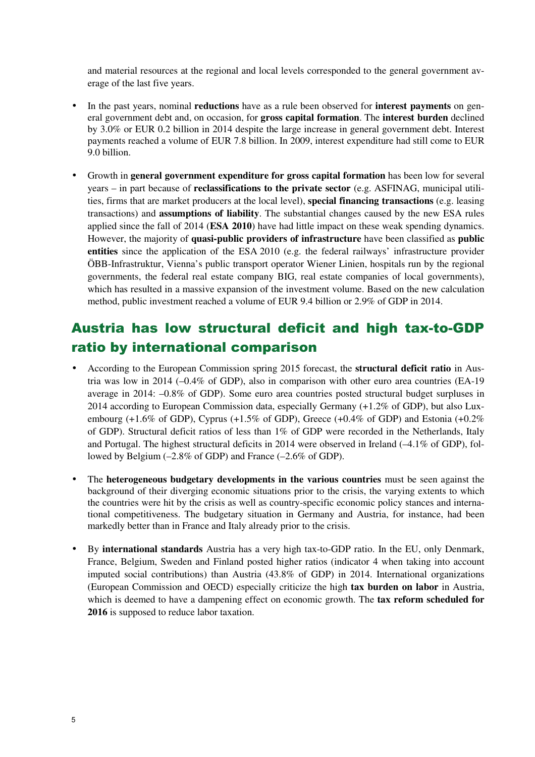and material resources at the regional and local levels corresponded to the general government average of the last five years.

- In the past years, nominal **reductions** have as a rule been observed for **interest payments** on general government debt and, on occasion, for **gross capital formation**. The **interest burden** declined by 3.0% or EUR 0.2 billion in 2014 despite the large increase in general government debt. Interest payments reached a volume of EUR 7.8 billion. In 2009, interest expenditure had still come to EUR 9.0 billion.
- Growth in **general government expenditure for gross capital formation** has been low for several years – in part because of **reclassifications to the private sector** (e.g. ASFINAG, municipal utilities, firms that are market producers at the local level), **special financing transactions** (e.g. leasing transactions) and **assumptions of liability**. The substantial changes caused by the new ESA rules applied since the fall of 2014 (**ESA 2010**) have had little impact on these weak spending dynamics. However, the majority of **quasi-public providers of infrastructure** have been classified as **public entities** since the application of the ESA 2010 (e.g. the federal railways' infrastructure provider ÖBB-Infrastruktur, Vienna's public transport operator Wiener Linien, hospitals run by the regional governments, the federal real estate company BIG, real estate companies of local governments), which has resulted in a massive expansion of the investment volume. Based on the new calculation method, public investment reached a volume of EUR 9.4 billion or 2.9% of GDP in 2014.

### Austria has low structural deficit and high tax-to-GDP ratio by international comparison

- According to the European Commission spring 2015 forecast, the **structural deficit ratio** in Austria was low in 2014 (–0.4% of GDP), also in comparison with other euro area countries (EA-19 average in 2014: –0.8% of GDP). Some euro area countries posted structural budget surpluses in 2014 according to European Commission data, especially Germany (+1.2% of GDP), but also Luxembourg  $(+1.6\%$  of GDP), Cyprus  $(+1.5\%$  of GDP), Greece  $(+0.4\%$  of GDP) and Estonia  $(+0.2\%$ of GDP). Structural deficit ratios of less than 1% of GDP were recorded in the Netherlands, Italy and Portugal. The highest structural deficits in 2014 were observed in Ireland (–4.1% of GDP), followed by Belgium (–2.8% of GDP) and France (–2.6% of GDP).
- The **heterogeneous budgetary developments in the various countries** must be seen against the background of their diverging economic situations prior to the crisis, the varying extents to which the countries were hit by the crisis as well as country-specific economic policy stances and international competitiveness. The budgetary situation in Germany and Austria, for instance, had been markedly better than in France and Italy already prior to the crisis.
- By **international standards** Austria has a very high tax-to-GDP ratio. In the EU, only Denmark, France, Belgium, Sweden and Finland posted higher ratios (indicator 4 when taking into account imputed social contributions) than Austria (43.8% of GDP) in 2014. International organizations (European Commission and OECD) especially criticize the high **tax burden on labor** in Austria, which is deemed to have a dampening effect on economic growth. The **tax reform scheduled for 2016** is supposed to reduce labor taxation.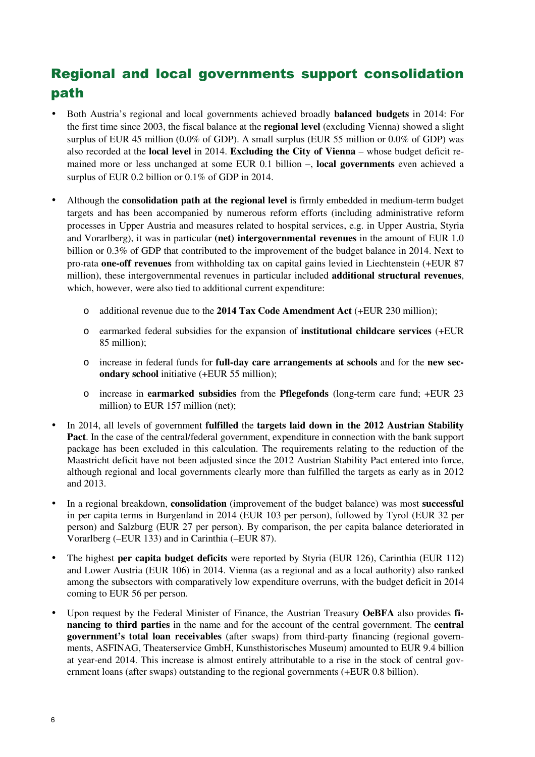# Regional and local governments support consolidation path

- Both Austria's regional and local governments achieved broadly **balanced budgets** in 2014: For the first time since 2003, the fiscal balance at the **regional level** (excluding Vienna) showed a slight surplus of EUR 45 million (0.0% of GDP). A small surplus (EUR 55 million or 0.0% of GDP) was also recorded at the **local level** in 2014. **Excluding the City of Vienna** – whose budget deficit remained more or less unchanged at some EUR 0.1 billion –, **local governments** even achieved a surplus of EUR 0.2 billion or 0.1% of GDP in 2014.
- Although the **consolidation path at the regional level** is firmly embedded in medium-term budget targets and has been accompanied by numerous reform efforts (including administrative reform processes in Upper Austria and measures related to hospital services, e.g. in Upper Austria, Styria and Vorarlberg), it was in particular **(net) intergovernmental revenues** in the amount of EUR 1.0 billion or 0.3% of GDP that contributed to the improvement of the budget balance in 2014. Next to pro-rata **one-off revenues** from withholding tax on capital gains levied in Liechtenstein (+EUR 87 million), these intergovernmental revenues in particular included **additional structural revenues**, which, however, were also tied to additional current expenditure:
	- o additional revenue due to the **2014 Tax Code Amendment Act** (+EUR 230 million);
	- o earmarked federal subsidies for the expansion of **institutional childcare services** (+EUR 85 million);
	- o increase in federal funds for **full-day care arrangements at schools** and for the **new secondary school** initiative (+EUR 55 million);
	- o increase in **earmarked subsidies** from the **Pflegefonds** (long-term care fund; +EUR 23 million) to EUR 157 million (net);
- In 2014, all levels of government **fulfilled** the **targets laid down in the 2012 Austrian Stability Pact**. In the case of the central/federal government, expenditure in connection with the bank support package has been excluded in this calculation. The requirements relating to the reduction of the Maastricht deficit have not been adjusted since the 2012 Austrian Stability Pact entered into force, although regional and local governments clearly more than fulfilled the targets as early as in 2012 and 2013.
- In a regional breakdown, **consolidation** (improvement of the budget balance) was most **successful** in per capita terms in Burgenland in 2014 (EUR 103 per person), followed by Tyrol (EUR 32 per person) and Salzburg (EUR 27 per person). By comparison, the per capita balance deteriorated in Vorarlberg (–EUR 133) and in Carinthia (–EUR 87).
- The highest **per capita budget deficits** were reported by Styria (EUR 126), Carinthia (EUR 112) and Lower Austria (EUR 106) in 2014. Vienna (as a regional and as a local authority) also ranked among the subsectors with comparatively low expenditure overruns, with the budget deficit in 2014 coming to EUR 56 per person.
- Upon request by the Federal Minister of Finance, the Austrian Treasury **OeBFA** also provides **financing to third parties** in the name and for the account of the central government. The **central government's total loan receivables** (after swaps) from third-party financing (regional governments, ASFINAG, Theaterservice GmbH, Kunsthistorisches Museum) amounted to EUR 9.4 billion at year-end 2014. This increase is almost entirely attributable to a rise in the stock of central government loans (after swaps) outstanding to the regional governments (+EUR 0.8 billion).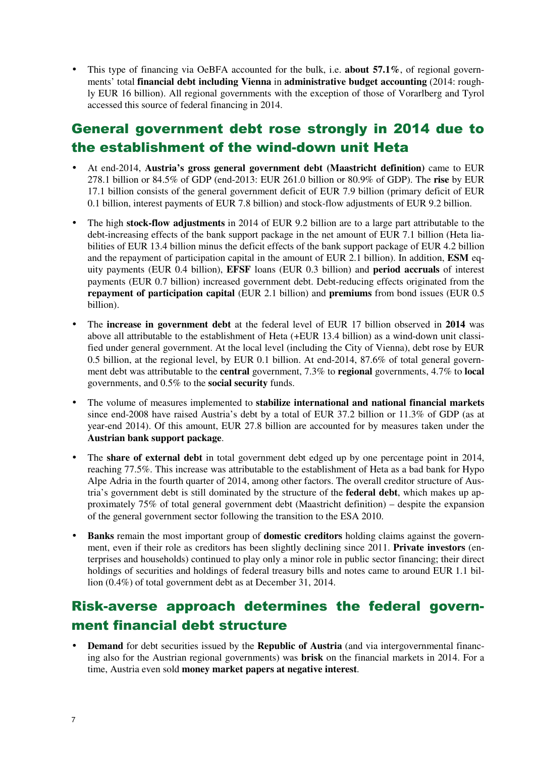• This type of financing via OeBFA accounted for the bulk, i.e. **about 57.1%**, of regional governments' total **financial debt including Vienna** in **administrative budget accounting** (2014: roughly EUR 16 billion). All regional governments with the exception of those of Vorarlberg and Tyrol accessed this source of federal financing in 2014.

## General government debt rose strongly in 2014 due to the establishment of the wind-down unit Heta

- At end-2014, **Austria's gross general government debt (Maastricht definition)** came to EUR 278.1 billion or 84.5% of GDP (end-2013: EUR 261.0 billion or 80.9% of GDP). The **rise** by EUR 17.1 billion consists of the general government deficit of EUR 7.9 billion (primary deficit of EUR 0.1 billion, interest payments of EUR 7.8 billion) and stock-flow adjustments of EUR 9.2 billion.
- The high **stock-flow adjustments** in 2014 of EUR 9.2 billion are to a large part attributable to the debt-increasing effects of the bank support package in the net amount of EUR 7.1 billion (Heta liabilities of EUR 13.4 billion minus the deficit effects of the bank support package of EUR 4.2 billion and the repayment of participation capital in the amount of EUR 2.1 billion). In addition, **ESM** equity payments (EUR 0.4 billion), **EFSF** loans (EUR 0.3 billion) and **period accruals** of interest payments (EUR 0.7 billion) increased government debt. Debt-reducing effects originated from the **repayment of participation capital** (EUR 2.1 billion) and **premiums** from bond issues (EUR 0.5 billion).
- The **increase in government debt** at the federal level of EUR 17 billion observed in **2014** was above all attributable to the establishment of Heta (+EUR 13.4 billion) as a wind-down unit classified under general government. At the local level (including the City of Vienna), debt rose by EUR 0.5 billion, at the regional level, by EUR 0.1 billion. At end-2014, 87.6% of total general government debt was attributable to the **central** government, 7.3% to **regional** governments, 4.7% to **local** governments, and 0.5% to the **social security** funds.
- The volume of measures implemented to **stabilize international and national financial markets** since end-2008 have raised Austria's debt by a total of EUR 37.2 billion or 11.3% of GDP (as at year-end 2014). Of this amount, EUR 27.8 billion are accounted for by measures taken under the **Austrian bank support package**.
- The **share of external debt** in total government debt edged up by one percentage point in 2014, reaching 77.5%. This increase was attributable to the establishment of Heta as a bad bank for Hypo Alpe Adria in the fourth quarter of 2014, among other factors. The overall creditor structure of Austria's government debt is still dominated by the structure of the **federal debt**, which makes up approximately 75% of total general government debt (Maastricht definition) – despite the expansion of the general government sector following the transition to the ESA 2010.
- **Banks** remain the most important group of **domestic creditors** holding claims against the government, even if their role as creditors has been slightly declining since 2011. **Private investors** (enterprises and households) continued to play only a minor role in public sector financing; their direct holdings of securities and holdings of federal treasury bills and notes came to around EUR 1.1 billion (0.4%) of total government debt as at December 31, 2014.

#### Risk-averse approach determines the federal government financial debt structure

**Demand** for debt securities issued by the **Republic of Austria** (and via intergovernmental financing also for the Austrian regional governments) was **brisk** on the financial markets in 2014. For a time, Austria even sold **money market papers at negative interest**.